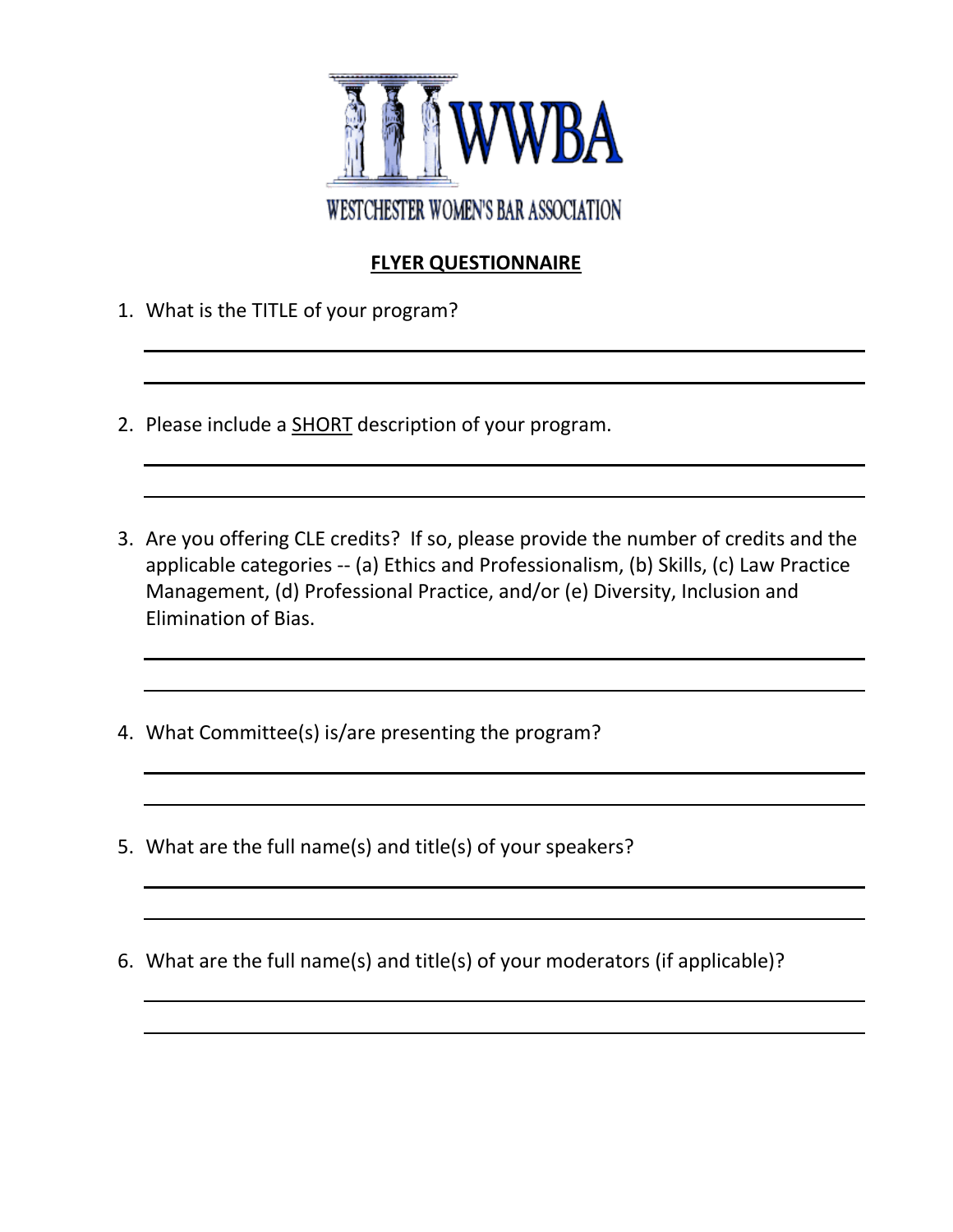

## **FLYER QUESTIONNAIRE**

- 1. What is the TITLE of your program?
- 2. Please include a **SHORT** description of your program.
- 3. Are you offering CLE credits? If so, please provide the number of credits and the applicable categories -- (a) Ethics and Professionalism, (b) Skills, (c) Law Practice Management, (d) Professional Practice, and/or (e) Diversity, Inclusion and Elimination of Bias.
- 4. What Committee(s) is/are presenting the program?
- 5. What are the full name(s) and title(s) of your speakers?
- 6. What are the full name(s) and title(s) of your moderators (if applicable)?